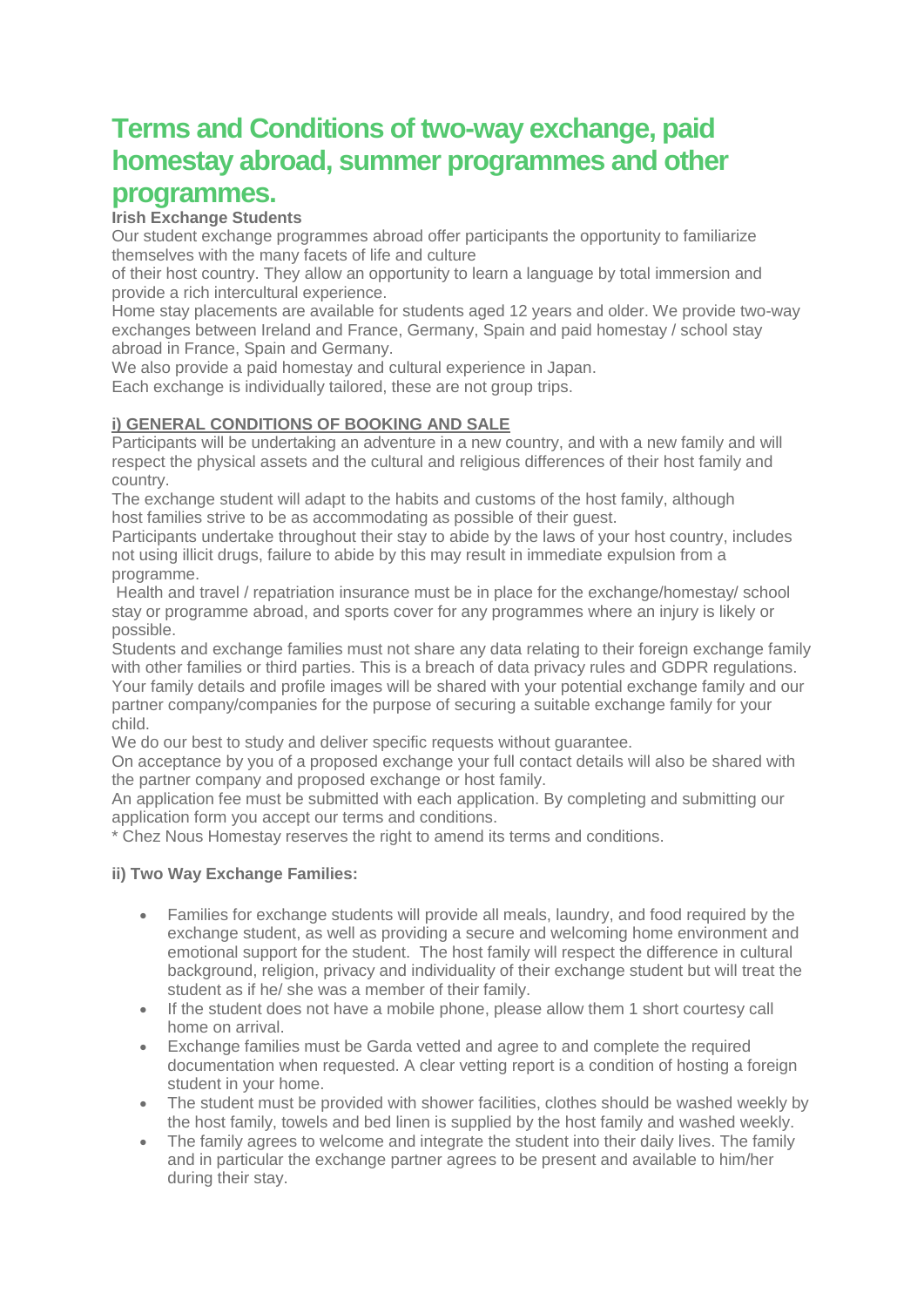# **Terms and Conditions of two-way exchange, paid homestay abroad, summer programmes and other programmes.**

# **Irish Exchange Students**

Our student exchange programmes abroad offer participants the opportunity to familiarize themselves with the many facets of life and culture

of their host country. They allow an opportunity to learn a language by total immersion and provide a rich intercultural experience.

Home stay placements are available for students aged 12 years and older. We provide two-way exchanges between Ireland and France, Germany, Spain and paid homestay / school stay abroad in France, Spain and Germany.

We also provide a paid homestay and cultural experience in Japan.

Each exchange is individually tailored, these are not group trips.

# **i) GENERAL CONDITIONS OF BOOKING AND SALE**

Participants will be undertaking an adventure in a new country, and with a new family and will respect the physical assets and the cultural and religious differences of their host family and country.

The exchange student will adapt to the habits and customs of the host family, although host families strive to be as accommodating as possible of their guest.

Participants undertake throughout their stay to abide by the laws of your host country, includes not using illicit drugs, failure to abide by this may result in immediate expulsion from a programme.

Health and travel / repatriation insurance must be in place for the exchange/homestay/ school stay or programme abroad, and sports cover for any programmes where an injury is likely or possible.

Students and exchange families must not share any data relating to their foreign exchange family with other families or third parties. This is a breach of data privacy rules and GDPR regulations. Your family details and profile images will be shared with your potential exchange family and our partner company/companies for the purpose of securing a suitable exchange family for your child.

We do our best to study and deliver specific requests without quarantee.

On acceptance by you of a proposed exchange your full contact details will also be shared with the partner company and proposed exchange or host family.

An application fee must be submitted with each application. By completing and submitting our application form you accept our terms and conditions.

\* Chez Nous Homestay reserves the right to amend its terms and conditions.

# **ii) Two Way Exchange Families:**

- Families for exchange students will provide all meals, laundry, and food required by the exchange student, as well as providing a secure and welcoming home environment and emotional support for the student. The host family will respect the difference in cultural background, religion, privacy and individuality of their exchange student but will treat the student as if he/ she was a member of their family.
- If the student does not have a mobile phone, please allow them 1 short courtesy call home on arrival.
- Exchange families must be Garda vetted and agree to and complete the required documentation when requested. A clear vetting report is a condition of hosting a foreign student in your home.
- The student must be provided with shower facilities, clothes should be washed weekly by the host family, towels and bed linen is supplied by the host family and washed weekly.
- The family agrees to welcome and integrate the student into their daily lives. The family and in particular the exchange partner agrees to be present and available to him/her during their stay.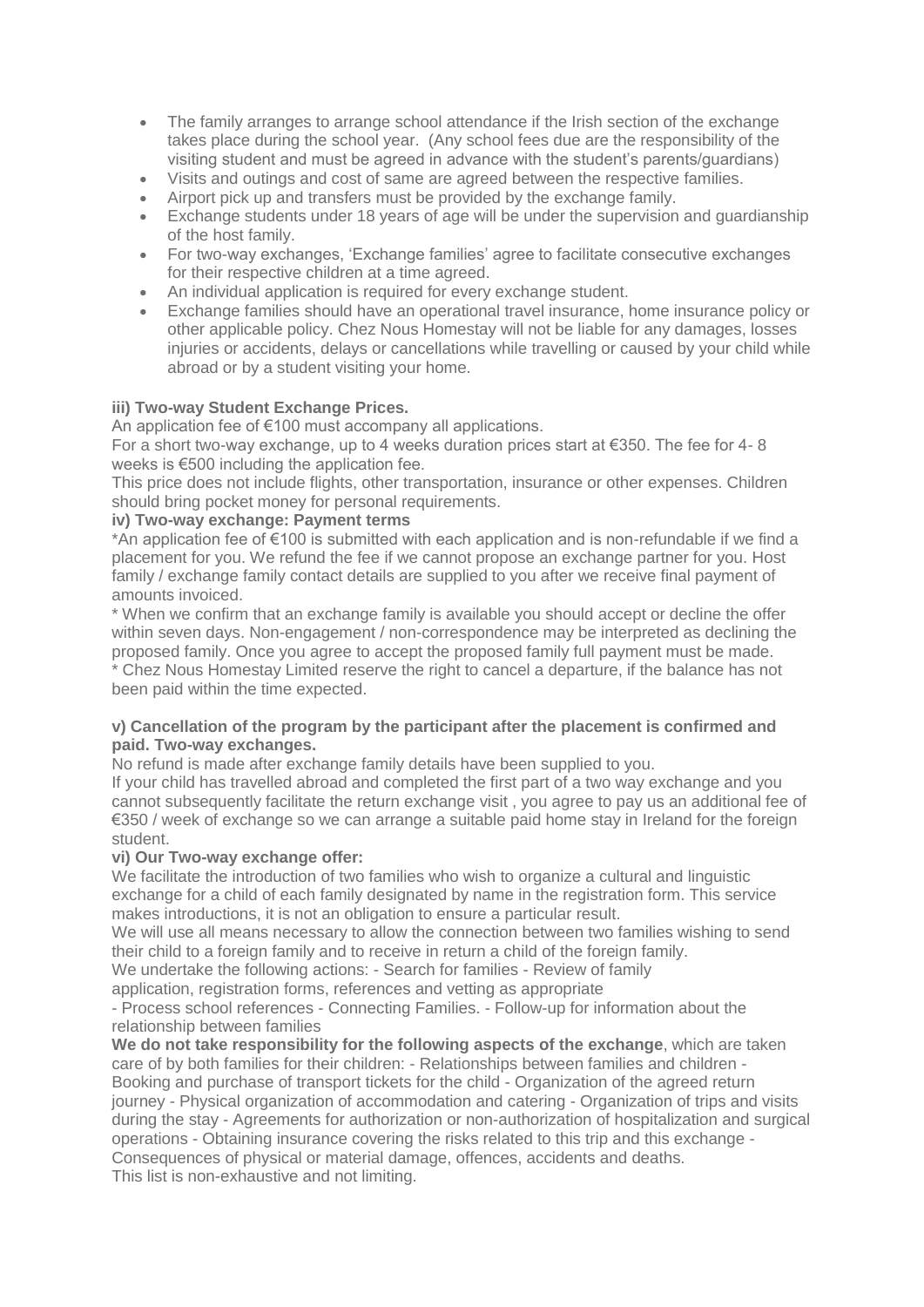- The family arranges to arrange school attendance if the Irish section of the exchange takes place during the school year. (Any school fees due are the responsibility of the visiting student and must be agreed in advance with the student's parents/guardians)
- Visits and outings and cost of same are agreed between the respective families.
- Airport pick up and transfers must be provided by the exchange family.
- Exchange students under 18 years of age will be under the supervision and guardianship of the host family.
- For two-way exchanges, 'Exchange families' agree to facilitate consecutive exchanges for their respective children at a time agreed.
- An individual application is required for every exchange student.
- Exchange families should have an operational travel insurance, home insurance policy or other applicable policy. Chez Nous Homestay will not be liable for any damages, losses injuries or accidents, delays or cancellations while travelling or caused by your child while abroad or by a student visiting your home.

# **iii) Two-way Student Exchange Prices.**

An application fee of €100 must accompany all applications.

For a short two-way exchange, up to 4 weeks duration prices start at €350. The fee for 4- 8 weeks is €500 including the application fee.

This price does not include flights, other transportation, insurance or other expenses. Children should bring pocket money for personal requirements.

#### **iv) Two-way exchange: Payment terms**

\*An application fee of €100 is submitted with each application and is non-refundable if we find a placement for you. We refund the fee if we cannot propose an exchange partner for you. Host family / exchange family contact details are supplied to you after we receive final payment of amounts invoiced.

\* When we confirm that an exchange family is available you should accept or decline the offer within seven days. Non-engagement / non-correspondence may be interpreted as declining the proposed family. Once you agree to accept the proposed family full payment must be made. \* Chez Nous Homestay Limited reserve the right to cancel a departure, if the balance has not been paid within the time expected.

## **v) Cancellation of the program by the participant after the placement is confirmed and paid. Two-way exchanges.**

No refund is made after exchange family details have been supplied to you.

If your child has travelled abroad and completed the first part of a two way exchange and you cannot subsequently facilitate the return exchange visit , you agree to pay us an additional fee of €350 / week of exchange so we can arrange a suitable paid home stay in Ireland for the foreign student.

# **vi) Our Two-way exchange offer:**

We facilitate the introduction of two families who wish to organize a cultural and linguistic exchange for a child of each family designated by name in the registration form. This service makes introductions, it is not an obligation to ensure a particular result.

We will use all means necessary to allow the connection between two families wishing to send their child to a foreign family and to receive in return a child of the foreign family.

We undertake the following actions: - Search for families - Review of family

application, registration forms, references and vetting as appropriate

- Process school references - Connecting Families. - Follow-up for information about the relationship between families

**We do not take responsibility for the following aspects of the exchange**, which are taken care of by both families for their children: - Relationships between families and children - Booking and purchase of transport tickets for the child - Organization of the agreed return journey - Physical organization of accommodation and catering - Organization of trips and visits during the stay - Agreements for authorization or non-authorization of hospitalization and surgical operations - Obtaining insurance covering the risks related to this trip and this exchange - Consequences of physical or material damage, offences, accidents and deaths. This list is non-exhaustive and not limiting.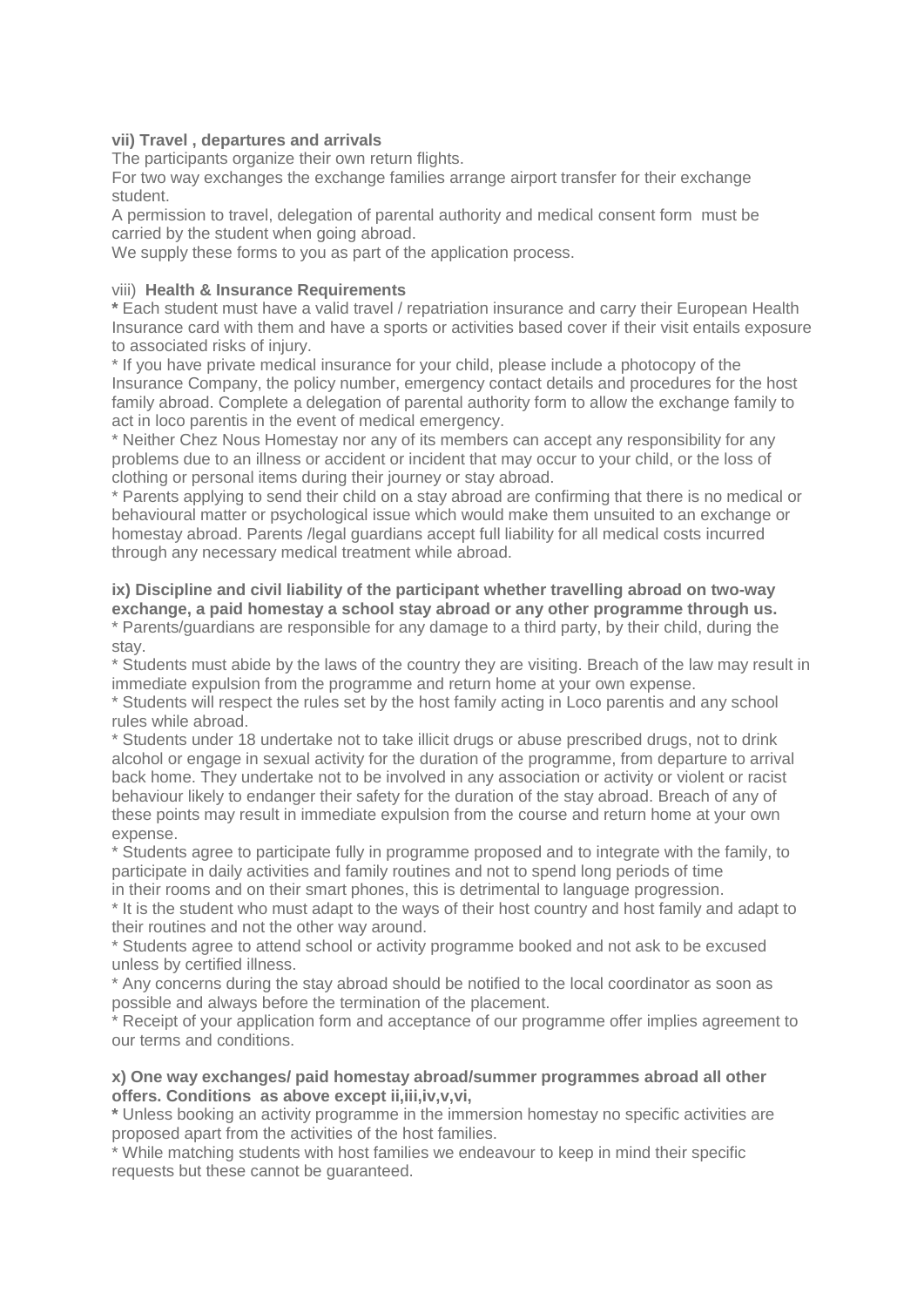# **vii) Travel , departures and arrivals**

The participants organize their own return flights.

For two way exchanges the exchange families arrange airport transfer for their exchange student.

A permission to travel, delegation of parental authority and medical consent form must be carried by the student when going abroad.

We supply these forms to you as part of the application process.

## viii) **Health & Insurance Requirements**

**\*** Each student must have a valid travel / repatriation insurance and carry their European Health Insurance card with them and have a sports or activities based cover if their visit entails exposure to associated risks of injury.

\* If you have private medical insurance for your child, please include a photocopy of the Insurance Company, the policy number, emergency contact details and procedures for the host family abroad. Complete a delegation of parental authority form to allow the exchange family to act in loco parentis in the event of medical emergency.

\* Neither Chez Nous Homestay nor any of its members can accept any responsibility for any problems due to an illness or accident or incident that may occur to your child, or the loss of clothing or personal items during their journey or stay abroad.

\* Parents applying to send their child on a stay abroad are confirming that there is no medical or behavioural matter or psychological issue which would make them unsuited to an exchange or homestay abroad. Parents /legal guardians accept full liability for all medical costs incurred through any necessary medical treatment while abroad.

#### **ix) Discipline and civil liability of the participant whether travelling abroad on two-way exchange, a paid homestay a school stay abroad or any other programme through us.** \* Parents/guardians are responsible for any damage to a third party, by their child, during the

stay.

\* Students must abide by the laws of the country they are visiting. Breach of the law may result in immediate expulsion from the programme and return home at your own expense.

\* Students will respect the rules set by the host family acting in Loco parentis and any school rules while abroad.

\* Students under 18 undertake not to take illicit drugs or abuse prescribed drugs, not to drink alcohol or engage in sexual activity for the duration of the programme, from departure to arrival back home. They undertake not to be involved in any association or activity or violent or racist behaviour likely to endanger their safety for the duration of the stay abroad. Breach of any of these points may result in immediate expulsion from the course and return home at your own expense.

\* Students agree to participate fully in programme proposed and to integrate with the family, to participate in daily activities and family routines and not to spend long periods of time

in their rooms and on their smart phones, this is detrimental to language progression.

\* It is the student who must adapt to the ways of their host country and host family and adapt to their routines and not the other way around.

\* Students agree to attend school or activity programme booked and not ask to be excused unless by certified illness.

\* Any concerns during the stay abroad should be notified to the local coordinator as soon as possible and always before the termination of the placement.

\* Receipt of your application form and acceptance of our programme offer implies agreement to our terms and conditions.

#### **x) One way exchanges/ paid homestay abroad/summer programmes abroad all other offers. Conditions as above except ii,iii,iv,v,vi,**

**\*** Unless booking an activity programme in the immersion homestay no specific activities are proposed apart from the activities of the host families.

\* While matching students with host families we endeavour to keep in mind their specific requests but these cannot be guaranteed.